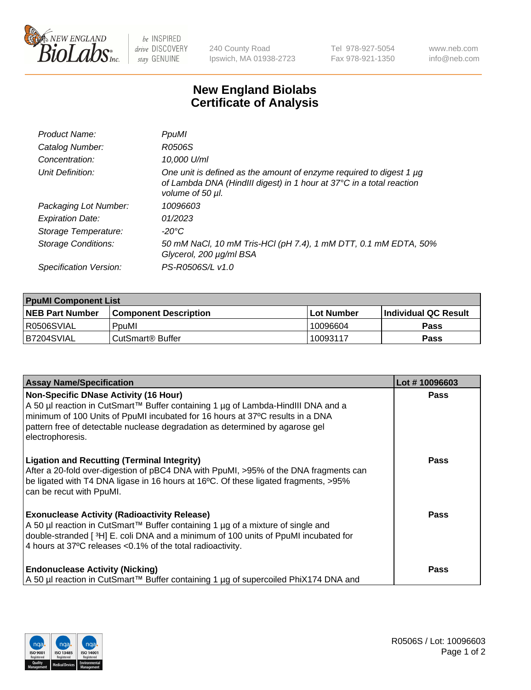

 $be$  INSPIRED drive DISCOVERY stay GENUINE

240 County Road Ipswich, MA 01938-2723 Tel 978-927-5054 Fax 978-921-1350 www.neb.com info@neb.com

## **New England Biolabs Certificate of Analysis**

| Product Name:              | PpuMI                                                                                                                                                           |
|----------------------------|-----------------------------------------------------------------------------------------------------------------------------------------------------------------|
| Catalog Number:            | R0506S                                                                                                                                                          |
| Concentration:             | 10,000 U/ml                                                                                                                                                     |
| Unit Definition:           | One unit is defined as the amount of enzyme required to digest 1 µg<br>of Lambda DNA (HindIII digest) in 1 hour at 37°C in a total reaction<br>volume of 50 µl. |
| Packaging Lot Number:      | 10096603                                                                                                                                                        |
| <b>Expiration Date:</b>    | 01/2023                                                                                                                                                         |
| Storage Temperature:       | -20°C                                                                                                                                                           |
| <b>Storage Conditions:</b> | 50 mM NaCl, 10 mM Tris-HCl (pH 7.4), 1 mM DTT, 0.1 mM EDTA, 50%<br>Glycerol, 200 µg/ml BSA                                                                      |
| Specification Version:     | PS-R0506S/L v1.0                                                                                                                                                |

| <b>PpuMI Component List</b> |                              |                   |                       |  |  |
|-----------------------------|------------------------------|-------------------|-----------------------|--|--|
| <b>NEB Part Number</b>      | <b>Component Description</b> | <b>Lot Number</b> | ∣Individual QC Result |  |  |
| R0506SVIAL                  | PpuMI                        | 10096604          | <b>Pass</b>           |  |  |
| IB7204SVIAL                 | l CutSmart® Buffer           | 10093117          | <b>Pass</b>           |  |  |

| <b>Assay Name/Specification</b>                                                                                                                                                                                                                                                                                       | Lot #10096603 |
|-----------------------------------------------------------------------------------------------------------------------------------------------------------------------------------------------------------------------------------------------------------------------------------------------------------------------|---------------|
| <b>Non-Specific DNase Activity (16 Hour)</b><br>A 50 µl reaction in CutSmart™ Buffer containing 1 µg of Lambda-HindIII DNA and a<br>minimum of 100 Units of PpuMI incubated for 16 hours at 37°C results in a DNA<br>pattern free of detectable nuclease degradation as determined by agarose gel<br>electrophoresis. | <b>Pass</b>   |
| <b>Ligation and Recutting (Terminal Integrity)</b><br>After a 20-fold over-digestion of pBC4 DNA with PpuMI, >95% of the DNA fragments can<br>be ligated with T4 DNA ligase in 16 hours at 16°C. Of these ligated fragments, >95%<br>can be recut with PpuMI.                                                         | Pass          |
| <b>Exonuclease Activity (Radioactivity Release)</b><br>  A 50 µl reaction in CutSmart™ Buffer containing 1 µg of a mixture of single and<br>double-stranded [3H] E. coli DNA and a minimum of 100 units of PpuMI incubated for<br>4 hours at 37°C releases < 0.1% of the total radioactivity.                         | Pass          |
| <b>Endonuclease Activity (Nicking)</b><br>A 50 µl reaction in CutSmart™ Buffer containing 1 µg of supercoiled PhiX174 DNA and                                                                                                                                                                                         | Pass          |